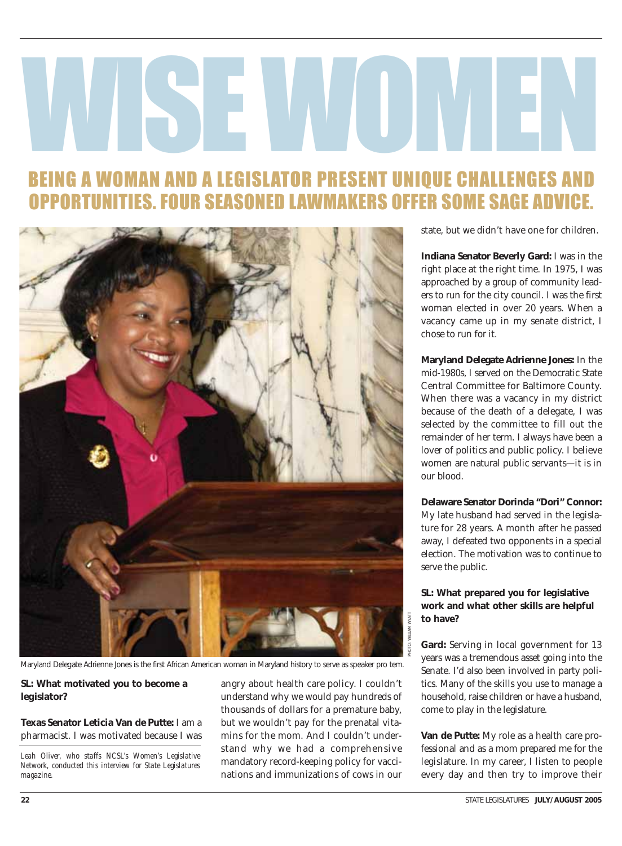# WISCON

# BEING A WOMAN AND A LEGISLATOR PRESENT UNIQUE CHALLENGES AND OPPORTUNITIES. FOUR SEASONED LAWMAKERS OFFER SOME SAGE ADVICE.



Maryland Delegate Adrienne Jones is the first African American woman in Maryland history to serve as speaker pro tem.

#### **SL: What motivated you to become a legislator?**

#### **Texas Senator Leticia Van de Putte:** I am a pharmacist. I was motivated because I was

*Leah Oliver, who staffs NCSL's Women's Legislative Network, conducted this interview for State Legislatures magazine.*

angry about health care policy. I couldn't understand why we would pay hundreds of thousands of dollars for a premature baby, but we wouldn't pay for the prenatal vitamins for the mom. And I couldn't understand why we had a comprehensive mandatory record-keeping policy for vaccinations and immunizations of cows in our

state, but we didn't have one for children.

**Indiana Senator Beverly Gard:** I was in the right place at the right time. In 1975, I was approached by a group of community leaders to run for the city council. I was the first woman elected in over 20 years. When a vacancy came up in my senate district, I chose to run for it.

**Maryland Delegate Adrienne Jones:** In the mid-1980s, I served on the Democratic State Central Committee for Baltimore County. When there was a vacancy in my district because of the death of a delegate, I was selected by the committee to fill out the remainder of her term. I always have been a lover of politics and public policy. I believe women are natural public servants—it is in our blood.

**Delaware Senator Dorinda "Dori" Connor:** My late husband had served in the legislature for 28 years. A month after he passed away, I defeated two opponents in a special election. The motivation was to continue to serve the public.

#### **SL: What prepared you for legislative work and what other skills are helpful to have?**

PHOTO: WILLIAM WYATT

**Gard:** Serving in local government for 13 years was a tremendous asset going into the Senate. I'd also been involved in party politics. Many of the skills you use to manage a household, raise children or have a husband, come to play in the legislature.

**Van de Putte:** My role as a health care professional and as a mom prepared me for the legislature. In my career, I listen to people every day and then try to improve their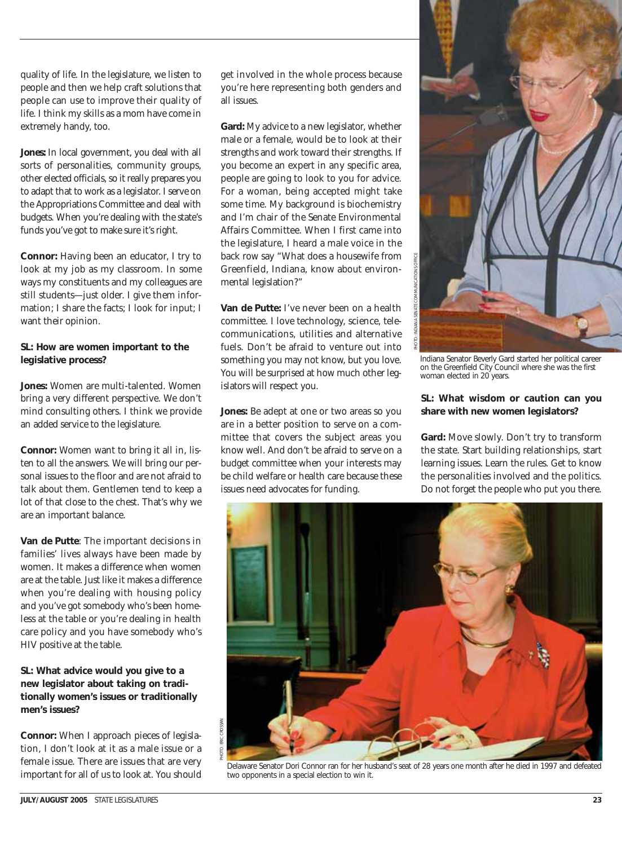quality of life. In the legislature, we listen to people and then we help craft solutions that people can use to improve their quality of life. I think my skills as a mom have come in extremely handy, too.

**Jones:** In local government, you deal with all sorts of personalities, community groups, other elected officials, so it really prepares you to adapt that to work as a legislator. I serve on the Appropriations Committee and deal with budgets. When you're dealing with the state's funds you've got to make sure it's right.

**Connor:** Having been an educator, I try to look at my job as my classroom. In some ways my constituents and my colleagues are still students—just older. I give them information; I share the facts; I look for input; I want their opinion.

#### **SL: How are women important to the legislative process?**

**Jones:** Women are multi-talented. Women bring a very different perspective. We don't mind consulting others. I think we provide an added service to the legislature.

**Connor:** Women want to bring it all in, listen to all the answers. We will bring our personal issues to the floor and are not afraid to talk about them. Gentlemen tend to keep a lot of that close to the chest. That's why we are an important balance.

**Van de Putte**: The important decisions in families' lives always have been made by women. It makes a difference when women are at the table. Just like it makes a difference when you're dealing with housing policy and you've got somebody who's been homeless at the table or you're dealing in health care policy and you have somebody who's HIV positive at the table.

#### **SL: What advice would you give to a new legislator about taking on traditionally women's issues or traditionally men's issues?**

**Connor:** When I approach pieces of legislation, I don't look at it as a male issue or a female issue. There are issues that are very important for all of us to look at. You should

get involved in the whole process because you're here representing both genders and all issues.

**Gard:** My advice to a new legislator, whether male or a female, would be to look at their strengths and work toward their strengths. If you become an expert in any specific area, people are going to look to you for advice. For a woman, being accepted might take some time. My background is biochemistry and I'm chair of the Senate Environmental Affairs Committee. When I first came into the legislature, I heard a male voice in the back row say "What does a housewife from Greenfield, Indiana, know about environmental legislation?"

**Van de Putte:** I've never been on a health committee. I love technology, science, telecommunications, utilities and alternative fuels. Don't be afraid to venture out into something you may not know, but you love. You will be surprised at how much other legislators will respect you.

**Jones:** Be adept at one or two areas so you are in a better position to serve on a committee that covers the subject areas you know well. And don't be afraid to serve on a budget committee when your interests may be child welfare or health care because these issues need advocates for funding.



Indiana Senator Beverly Gard started her political career on the Greenfield City Council where she was the first woman elected in 20 years.

#### **SL: What wisdom or caution can you share with new women legislators?**

**Gard:** Move slowly. Don't try to transform the state. Start building relationships, start learning issues. Learn the rules. Get to know the personalities involved and the politics. Do not forget the people who put you there.



Delaware Senator Dori Connor ran for her husband's seat of 28 years one month after he died in 1997 and defeated two opponents in a special election to win it.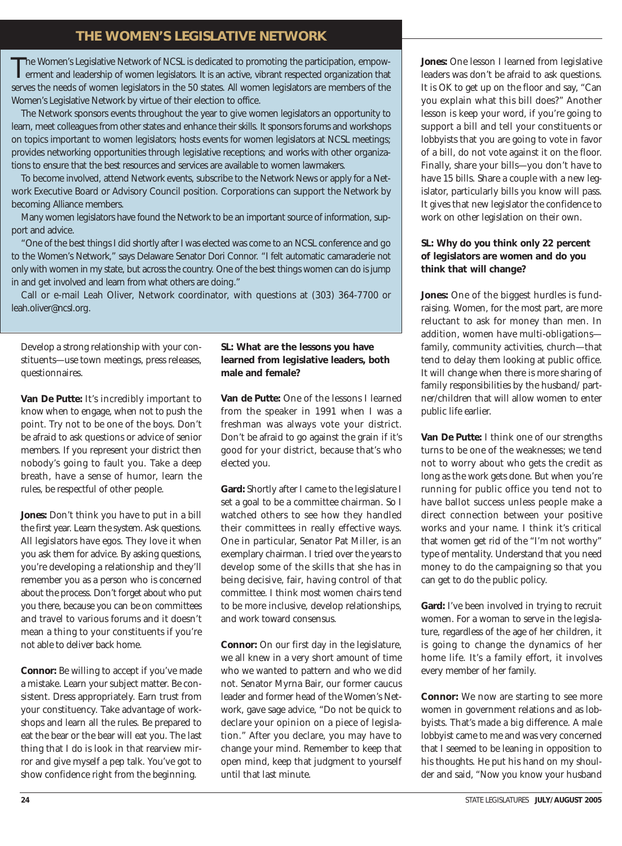## **THE WOMEN'S LEGISLATIVE NETWORK**

The Women's Legislative Network of NCSL is dedicated to promoting the participation, empow-<br>erment and leadership of women legislators. It is an active, vibrant respected organization that serves the needs of women legislators in the 50 states. All women legislators are members of the Women's Legislative Network by virtue of their election to office.

The Network sponsors events throughout the year to give women legislators an opportunity to learn, meet colleagues from other states and enhance their skills. It sponsors forums and workshops on topics important to women legislators; hosts events for women legislators at NCSL meetings; provides networking opportunities through legislative receptions; and works with other organizations to ensure that the best resources and services are available to women lawmakers.

To become involved, attend Network events, subscribe to the Network News or apply for a Network Executive Board or Advisory Council position. Corporations can support the Network by becoming Alliance members.

Many women legislators have found the Network to be an important source of information, support and advice.

"One of the best things I did shortly after I was elected was come to an NCSL conference and go to the Women's Network," says Delaware Senator Dori Connor. "I felt automatic camaraderie not only with women in my state, but across the country. One of the best things women can do is jump in and get involved and learn from what others are doing."

Call or e-mail Leah Oliver, Network coordinator, with questions at (303) 364-7700 or leah.oliver@ncsl.org.

Develop a strong relationship with your constituents—use town meetings, press releases, questionnaires.

**Van De Putte:** It's incredibly important to know when to engage, when not to push the point. Try not to be one of the boys. Don't be afraid to ask questions or advice of senior members. If you represent your district then nobody's going to fault you. Take a deep breath, have a sense of humor, learn the rules, be respectful of other people.

**Jones:** Don't think you have to put in a bill the first year. Learn the system. Ask questions. All legislators have egos. They love it when you ask them for advice. By asking questions, you're developing a relationship and they'll remember you as a person who is concerned about the process. Don't forget about who put you there, because you can be on committees and travel to various forums and it doesn't mean a thing to your constituents if you're not able to deliver back home.

**Connor:** Be willing to accept if you've made a mistake. Learn your subject matter. Be consistent. Dress appropriately. Earn trust from your constituency. Take advantage of workshops and learn all the rules. Be prepared to eat the bear or the bear will eat you. The last thing that I do is look in that rearview mirror and give myself a pep talk. You've got to show confidence right from the beginning.

#### **SL: What are the lessons you have learned from legislative leaders, both male and female?**

**Van de Putte:** One of the lessons I learned from the speaker in 1991 when I was a freshman was always vote your district. Don't be afraid to go against the grain if it's good for your district, because that's who elected you.

**Gard:** Shortly after I came to the legislature I set a goal to be a committee chairman. So I watched others to see how they handled their committees in really effective ways. One in particular, Senator Pat Miller, is an exemplary chairman. I tried over the years to develop some of the skills that she has in being decisive, fair, having control of that committee. I think most women chairs tend to be more inclusive, develop relationships, and work toward consensus.

**Connor:** On our first day in the legislature, we all knew in a very short amount of time who we wanted to pattern and who we did not. Senator Myrna Bair, our former caucus leader and former head of the Women's Network, gave sage advice, "Do not be quick to declare your opinion on a piece of legislation." After you declare, you may have to change your mind. Remember to keep that open mind, keep that judgment to yourself until that last minute.

**Jones:** One lesson I learned from legislative leaders was don't be afraid to ask questions. It is OK to get up on the floor and say, "Can you explain what this bill does?" Another lesson is keep your word, if you're going to support a bill and tell your constituents or lobbyists that you are going to vote in favor of a bill, do not vote against it on the floor. Finally, share your bills—you don't have to have 15 bills. Share a couple with a new legislator, particularly bills you know will pass. It gives that new legislator the confidence to work on other legislation on their own.

#### **SL: Why do you think only 22 percent of legislators are women and do you think that will change?**

**Jones:** One of the biggest hurdles is fundraising. Women, for the most part, are more reluctant to ask for money than men. In addition, women have multi-obligations family, community activities, church—that tend to delay them looking at public office. It will change when there is more sharing of family responsibilities by the husband/ partner/children that will allow women to enter public life earlier.

**Van De Putte:** I think one of our strengths turns to be one of the weaknesses; we tend not to worry about who gets the credit as long as the work gets done. But when you're running for public office you tend not to have ballot success unless people make a direct connection between your positive works and your name. I think it's critical that women get rid of the "I'm not worthy" type of mentality. Understand that you need money to do the campaigning so that you can get to do the public policy.

**Gard:** I've been involved in trying to recruit women. For a woman to serve in the legislature, regardless of the age of her children, it is going to change the dynamics of her home life. It's a family effort, it involves every member of her family.

**Connor:** We now are starting to see more women in government relations and as lobbyists. That's made a big difference. A male lobbyist came to me and was very concerned that I seemed to be leaning in opposition to his thoughts. He put his hand on my shoulder and said, "Now you know your husband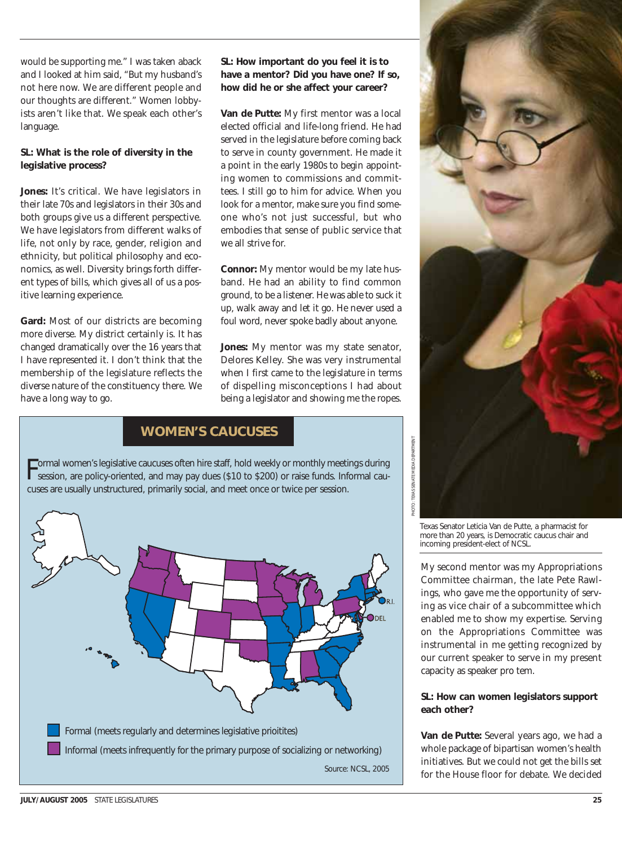would be supporting me." I was taken aback and I looked at him said, "But my husband's not here now. We are different people and our thoughts are different." Women lobbyists aren't like that. We speak each other's language.

#### **SL: What is the role of diversity in the legislative process?**

**Jones:** It's critical. We have legislators in their late 70s and legislators in their 30s and both groups give us a different perspective. We have legislators from different walks of life, not only by race, gender, religion and ethnicity, but political philosophy and economics, as well. Diversity brings forth different types of bills, which gives all of us a positive learning experience.

**Gard:** Most of our districts are becoming more diverse. My district certainly is. It has changed dramatically over the 16 years that I have represented it. I don't think that the membership of the legislature reflects the diverse nature of the constituency there. We have a long way to go.

#### **SL: How important do you feel it is to have a mentor? Did you have one? If so, how did he or she affect your career?**

**Van de Putte:** My first mentor was a local elected official and life-long friend. He had served in the legislature before coming back to serve in county government. He made it a point in the early 1980s to begin appointing women to commissions and committees. I still go to him for advice. When you look for a mentor, make sure you find someone who's not just successful, but who embodies that sense of public service that we all strive for.

**Connor:** My mentor would be my late husband. He had an ability to find common ground, to be a listener. He was able to suck it up, walk away and let it go. He never used a foul word, never spoke badly about anyone.

**Jones:** My mentor was my state senator, Delores Kelley. She was very instrumental when I first came to the legislature in terms of dispelling misconceptions I had about being a legislator and showing me the ropes.

### **WOMEN'S CAUCUSES**

Formal women's legislative caucuses often hire staff, hold weekly or monthly meetings during session, are policy-oriented, and may pay dues (\$10 to \$200) or raise funds. Informal caucuses are usually unstructured, primarily social, and meet once or twice per session.





Texas Senator Leticia Van de Putte, a pharmacist for more than 20 years, is Democratic caucus chair and incoming president-elect of NCSL.

PHOTO: TEXAS SENATE MEDIA DEPARTMENT

My second mentor was my Appropriations Committee chairman, the late Pete Rawlings, who gave me the opportunity of serving as vice chair of a subcommittee which enabled me to show my expertise. Serving on the Appropriations Committee was instrumental in me getting recognized by our current speaker to serve in my present capacity as speaker pro tem.

#### **SL: How can women legislators support each other?**

**Van de Putte:** Several years ago, we had a whole package of bipartisan women's health initiatives. But we could not get the bills set for the House floor for debate. We decided